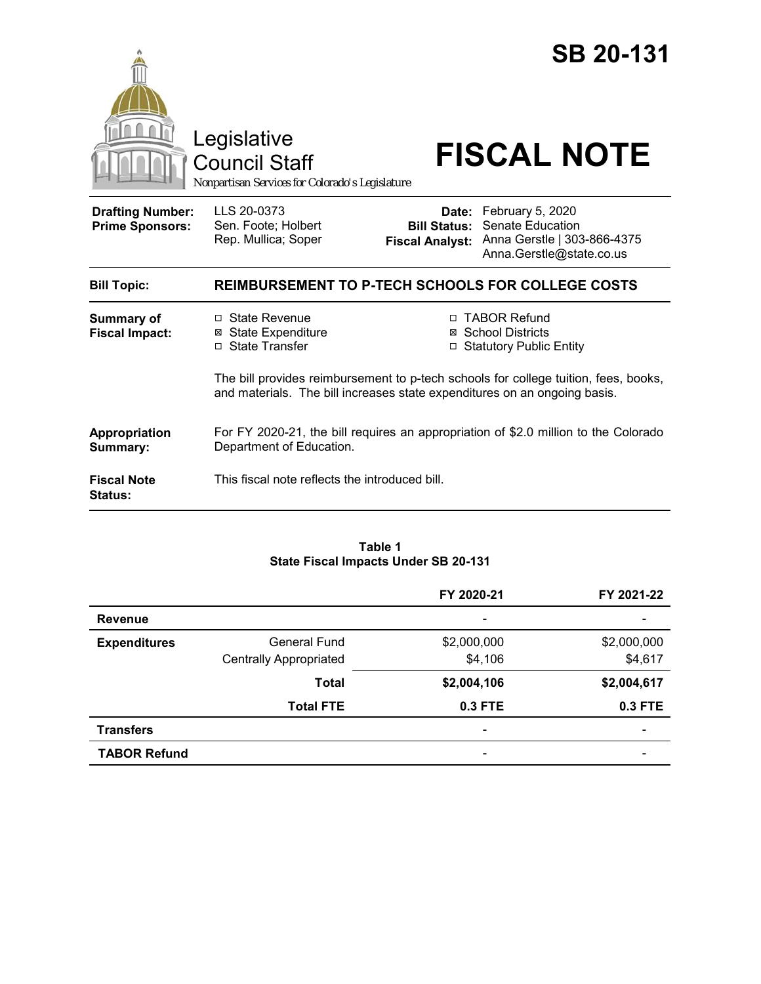

**Fiscal Note Status:** This fiscal note reflects the introduced bill.

#### **Table 1 State Fiscal Impacts Under SB 20-131**

|                     |                               | FY 2020-21               | FY 2021-22  |
|---------------------|-------------------------------|--------------------------|-------------|
| <b>Revenue</b>      |                               | $\overline{\phantom{a}}$ |             |
| <b>Expenditures</b> | General Fund                  | \$2,000,000              | \$2,000,000 |
|                     | <b>Centrally Appropriated</b> | \$4,106                  | \$4,617     |
|                     | <b>Total</b>                  | \$2,004,106              | \$2,004,617 |
|                     | <b>Total FTE</b>              | $0.3$ FTE                | $0.3$ FTE   |
| <b>Transfers</b>    |                               | $\overline{\phantom{0}}$ | -           |
| <b>TABOR Refund</b> |                               | -                        |             |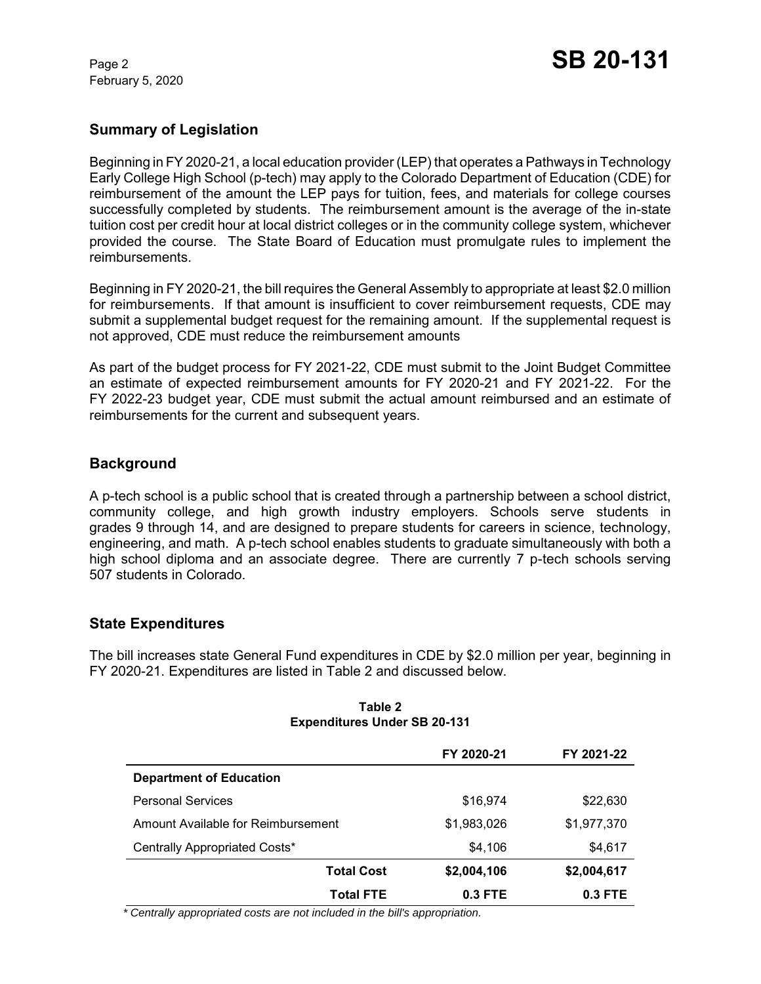February 5, 2020

# **Summary of Legislation**

Beginning in FY 2020-21, a local education provider (LEP) that operates a Pathways in Technology Early College High School (p-tech) may apply to the Colorado Department of Education (CDE) for reimbursement of the amount the LEP pays for tuition, fees, and materials for college courses successfully completed by students. The reimbursement amount is the average of the in-state tuition cost per credit hour at local district colleges or in the community college system, whichever provided the course. The State Board of Education must promulgate rules to implement the reimbursements.

Beginning in FY 2020-21, the bill requires the General Assembly to appropriate at least \$2.0 million for reimbursements. If that amount is insufficient to cover reimbursement requests, CDE may submit a supplemental budget request for the remaining amount. If the supplemental request is not approved, CDE must reduce the reimbursement amounts

As part of the budget process for FY 2021-22, CDE must submit to the Joint Budget Committee an estimate of expected reimbursement amounts for FY 2020-21 and FY 2021-22. For the FY 2022-23 budget year, CDE must submit the actual amount reimbursed and an estimate of reimbursements for the current and subsequent years.

## **Background**

A p-tech school is a public school that is created through a partnership between a school district, community college, and high growth industry employers. Schools serve students in grades 9 through 14, and are designed to prepare students for careers in science, technology, engineering, and math. A p-tech school enables students to graduate simultaneously with both a high school diploma and an associate degree. There are currently 7 p-tech schools serving 507 students in Colorado.

## **State Expenditures**

The bill increases state General Fund expenditures in CDE by \$2.0 million per year, beginning in FY 2020-21. Expenditures are listed in Table 2 and discussed below.

|                                    | FY 2020-21  | FY 2021-22  |
|------------------------------------|-------------|-------------|
| <b>Department of Education</b>     |             |             |
| <b>Personal Services</b>           | \$16,974    | \$22,630    |
| Amount Available for Reimbursement | \$1,983,026 | \$1,977,370 |
| Centrally Appropriated Costs*      | \$4,106     | \$4,617     |
| <b>Total Cost</b>                  | \$2,004,106 | \$2,004,617 |
| <b>Total FTE</b>                   | 0.3 FTE     | $0.3$ FTE   |

#### **Table 2 Expenditures Under SB 20-131**

 *\* Centrally appropriated costs are not included in the bill's appropriation.*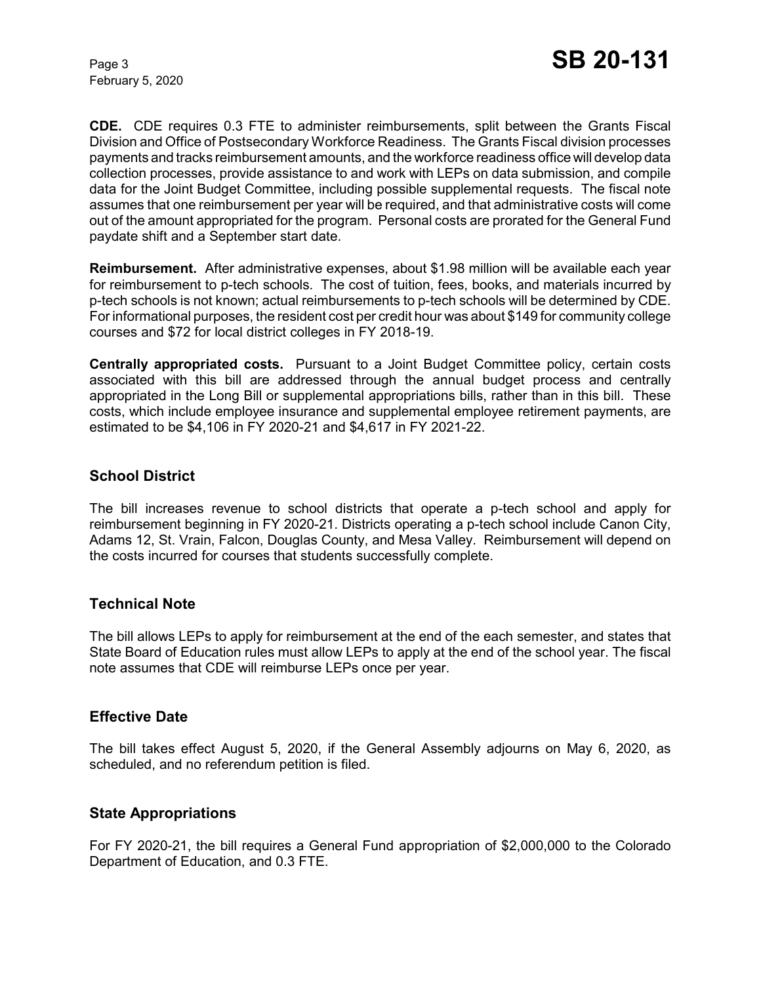February 5, 2020

**CDE.** CDE requires 0.3 FTE to administer reimbursements, split between the Grants Fiscal Division and Office of Postsecondary Workforce Readiness. The Grants Fiscal division processes payments and tracks reimbursement amounts, and the workforce readiness office will develop data collection processes, provide assistance to and work with LEPs on data submission, and compile data for the Joint Budget Committee, including possible supplemental requests. The fiscal note assumes that one reimbursement per year will be required, and that administrative costs will come out of the amount appropriated for the program. Personal costs are prorated for the General Fund paydate shift and a September start date.

**Reimbursement.** After administrative expenses, about \$1.98 million will be available each year for reimbursement to p-tech schools. The cost of tuition, fees, books, and materials incurred by p-tech schools is not known; actual reimbursements to p-tech schools will be determined by CDE. For informational purposes, the resident cost per credit hour was about \$149 for community college courses and \$72 for local district colleges in FY 2018-19.

**Centrally appropriated costs.** Pursuant to a Joint Budget Committee policy, certain costs associated with this bill are addressed through the annual budget process and centrally appropriated in the Long Bill or supplemental appropriations bills, rather than in this bill. These costs, which include employee insurance and supplemental employee retirement payments, are estimated to be \$4,106 in FY 2020-21 and \$4,617 in FY 2021-22.

## **School District**

The bill increases revenue to school districts that operate a p-tech school and apply for reimbursement beginning in FY 2020-21. Districts operating a p-tech school include Canon City, Adams 12, St. Vrain, Falcon, Douglas County, and Mesa Valley. Reimbursement will depend on the costs incurred for courses that students successfully complete.

## **Technical Note**

The bill allows LEPs to apply for reimbursement at the end of the each semester, and states that State Board of Education rules must allow LEPs to apply at the end of the school year. The fiscal note assumes that CDE will reimburse LEPs once per year.

## **Effective Date**

The bill takes effect August 5, 2020, if the General Assembly adjourns on May 6, 2020, as scheduled, and no referendum petition is filed.

## **State Appropriations**

For FY 2020-21, the bill requires a General Fund appropriation of \$2,000,000 to the Colorado Department of Education, and 0.3 FTE.